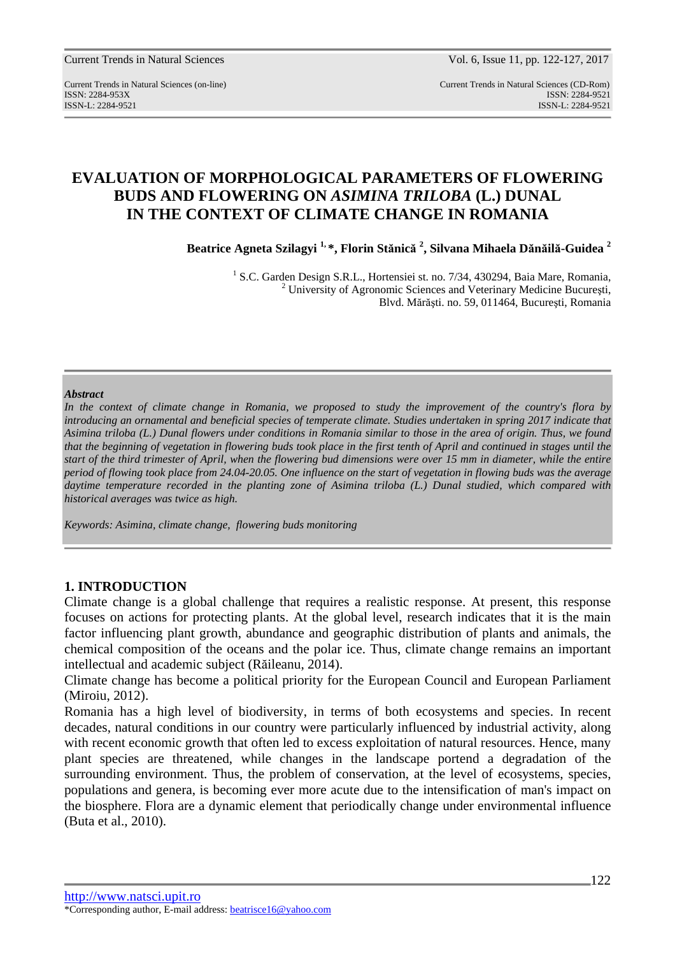Current Trends in Natural Sciences Vol. 6, Issue 11, pp. 122-127, 2017

Current Trends in Natural Sciences (on-line) Current Trends in Natural Sciences (CD-Rom) ISSN: 2284-953XISSN: 2284-9521 ISSN-L: 2284-9521 ISSN-L: 2284-9521

# **EVALUATION OF MORPHOLOGICAL PARAMETERS OF FLOWERING BUDS AND FLOWERING ON** *ASIMINA TRILOBA* **(L.) DUNAL IN THE CONTEXT OF CLIMATE CHANGE IN ROMANIA**

**Beatrice Agneta Szilagyi 1, \*, Florin Stănică 2 , Silvana Mihaela Dănăilă-Guidea <sup>2</sup>**

<sup>1</sup> S.C. Garden Design S.R.L., Hortensiei st. no. 7/34, 430294, Baia Mare, Romania, <sup>2</sup> University of Agronomic Sciences and Veterinary Medicine București, Blvd. Mărăşti. no. 59, 011464, Bucureşti, Romania

#### *Abstract*

*In the context of climate change in Romania, we proposed to study the improvement of the country's flora by introducing an ornamental and beneficial species of temperate climate. Studies undertaken in spring 2017 indicate that Asimina triloba (L.) Dunal flowers under conditions in Romania similar to those in the area of origin. Thus, we found that the beginning of vegetation in flowering buds took place in the first tenth of April and continued in stages until the start of the third trimester of April, when the flowering bud dimensions were over 15 mm in diameter, while the entire period of flowing took place from 24.04-20.05. One influence on the start of vegetation in flowing buds was the average*  daytime temperature recorded in the planting zone of Asimina triloba (L.) Dunal studied, which compared with *historical averages was twice as high.* 

*Keywords: Asimina, climate change, flowering buds monitoring* 

## **1. INTRODUCTION**

Climate change is a global challenge that requires a realistic response. At present, this response focuses on actions for protecting plants. At the global level, research indicates that it is the main factor influencing plant growth, abundance and geographic distribution of plants and animals, the chemical composition of the oceans and the polar ice. Thus, climate change remains an important intellectual and academic subject (Răileanu, 2014).

Climate change has become a political priority for the European Council and European Parliament (Miroiu, 2012).

Romania has a high level of biodiversity, in terms of both ecosystems and species. In recent decades, natural conditions in our country were particularly influenced by industrial activity, along with recent economic growth that often led to excess exploitation of natural resources. Hence, many plant species are threatened, while changes in the landscape portend a degradation of the surrounding environment. Thus, the problem of conservation, at the level of ecosystems, species, populations and genera, is becoming ever more acute due to the intensification of man's impact on the biosphere. Flora are a dynamic element that periodically change under environmental influence (Buta et al., 2010).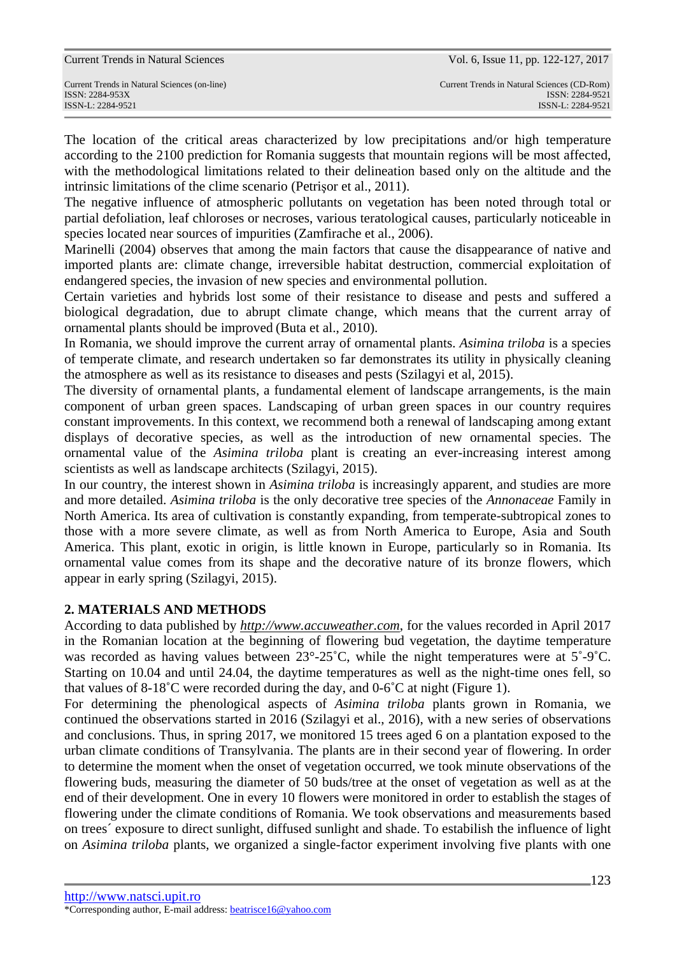The location of the critical areas characterized by low precipitations and/or high temperature according to the 2100 prediction for Romania suggests that mountain regions will be most affected, with the methodological limitations related to their delineation based only on the altitude and the intrinsic limitations of the clime scenario (Petrişor et al., 2011).

The negative influence of atmospheric pollutants on vegetation has been noted through total or partial defoliation, leaf chloroses or necroses, various teratological causes, particularly noticeable in species located near sources of impurities (Zamfirache et al., 2006).

Marinelli (2004) observes that among the main factors that cause the disappearance of native and imported plants are: climate change, irreversible habitat destruction, commercial exploitation of endangered species, the invasion of new species and environmental pollution.

Certain varieties and hybrids lost some of their resistance to disease and pests and suffered a biological degradation, due to abrupt climate change, which means that the current array of ornamental plants should be improved (Buta et al., 2010).

In Romania, we should improve the current array of ornamental plants. *Asimina triloba* is a species of temperate climate, and research undertaken so far demonstrates its utility in physically cleaning the atmosphere as well as its resistance to diseases and pests (Szilagyi et al, 2015).

The diversity of ornamental plants, a fundamental element of landscape arrangements, is the main component of urban green spaces. Landscaping of urban green spaces in our country requires constant improvements. In this context, we recommend both a renewal of landscaping among extant displays of decorative species, as well as the introduction of new ornamental species. The ornamental value of the *Asimina triloba* plant is creating an ever-increasing interest among scientists as well as landscape architects (Szilagyi, 2015).

In our country, the interest shown in *Asimina triloba* is increasingly apparent, and studies are more and more detailed. *Asimina triloba* is the only decorative tree species of the *Annonaceae* Family in North America. Its area of cultivation is constantly expanding, from temperate-subtropical zones to those with a more severe climate, as well as from North America to Europe, Asia and South America. This plant, exotic in origin, is little known in Europe, particularly so in Romania. Its ornamental value comes from its shape and the decorative nature of its bronze flowers, which appear in early spring (Szilagyi, 2015).

# **2. MATERIALS AND METHODS**

According to data published by *http://www.accuweather.com*, for the values recorded in April 2017 in the Romanian location at the beginning of flowering bud vegetation, the daytime temperature was recorded as having values between  $23^{\circ}$ -25°C, while the night temperatures were at  $5^{\circ}$ -9°C. Starting on 10.04 and until 24.04, the daytime temperatures as well as the night-time ones fell, so that values of  $8-18^{\circ}$ C were recorded during the day, and  $0-6^{\circ}$ C at night (Figure 1).

For determining the phenological aspects of *Asimina triloba* plants grown in Romania, we continued the observations started in 2016 (Szilagyi et al., 2016), with a new series of observations and conclusions. Thus, in spring 2017, we monitored 15 trees aged 6 on a plantation exposed to the urban climate conditions of Transylvania. The plants are in their second year of flowering. In order to determine the moment when the onset of vegetation occurred, we took minute observations of the flowering buds, measuring the diameter of 50 buds/tree at the onset of vegetation as well as at the end of their development. One in every 10 flowers were monitored in order to establish the stages of flowering under the climate conditions of Romania. We took observations and measurements based on trees´ exposure to direct sunlight, diffused sunlight and shade. To estabilish the influence of light on *Asimina triloba* plants, we organized a single-factor experiment involving five plants with one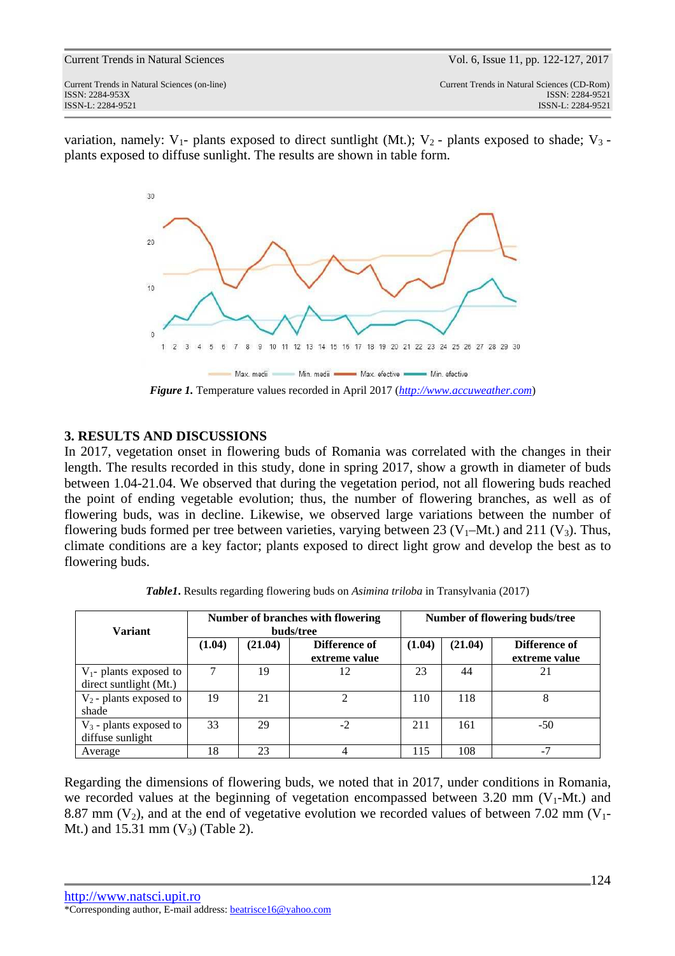ISSN: 2284-953XISSN: 2284-9521

Current Trends in Natural Sciences (on-line) Current Trends in Natural Sciences (CD-Rom) ISSN-L: 2284-9521 ISSN-L: 2284-9521

variation, namely:  $V_1$ - plants exposed to direct suntlight (Mt.);  $V_2$ - plants exposed to shade;  $V_3$ plants exposed to diffuse sunlight. The results are shown in table form.



*Figure 1.* Temperature values recorded in April 2017 (*http://www.accuweather.com*)

## **3. RESULTS AND DISCUSSIONS**

In 2017, vegetation onset in flowering buds of Romania was correlated with the changes in their length. The results recorded in this study, done in spring 2017, show a growth in diameter of buds between 1.04-21.04. We observed that during the vegetation period, not all flowering buds reached the point of ending vegetable evolution; thus, the number of flowering branches, as well as of flowering buds, was in decline. Likewise, we observed large variations between the number of flowering buds formed per tree between varieties, varying between 23 ( $V_1$ –Mt.) and 211 ( $V_3$ ). Thus, climate conditions are a key factor; plants exposed to direct light grow and develop the best as to flowering buds.

|                           |           |         | Number of branches with flowering | Number of flowering buds/tree |         |               |  |
|---------------------------|-----------|---------|-----------------------------------|-------------------------------|---------|---------------|--|
| <b>Variant</b>            | buds/tree |         |                                   |                               |         |               |  |
|                           | (1.04)    | (21.04) | Difference of                     | (1.04)                        | (21.04) | Difference of |  |
|                           |           |         | extreme value                     |                               |         | extreme value |  |
| $V_1$ - plants exposed to |           | 19      | 12                                | 23                            | 44      | 21            |  |
| direct suntlight (Mt.)    |           |         |                                   |                               |         |               |  |
| $V_2$ - plants exposed to | 19        | 21      |                                   | 110                           | 118     |               |  |
| shade                     |           |         |                                   |                               |         |               |  |
| $V_3$ - plants exposed to | 33        | 29      | $-2$                              | 211                           | 161     | $-50$         |  |
| diffuse sunlight          |           |         |                                   |                               |         |               |  |
| Average                   | 18        | 23      |                                   | 115                           | 108     | $-7$          |  |

*Table1***.** Results regarding flowering buds on *Asimina triloba* in Transylvania (2017)

Regarding the dimensions of flowering buds, we noted that in 2017, under conditions in Romania, we recorded values at the beginning of vegetation encompassed between 3.20 mm ( $V_1$ -Mt.) and 8.87 mm  $(V_2)$ , and at the end of vegetative evolution we recorded values of between 7.02 mm  $(V_1$ -Mt.) and  $15.31 \text{ mm}$  (V<sub>3</sub>) (Table 2).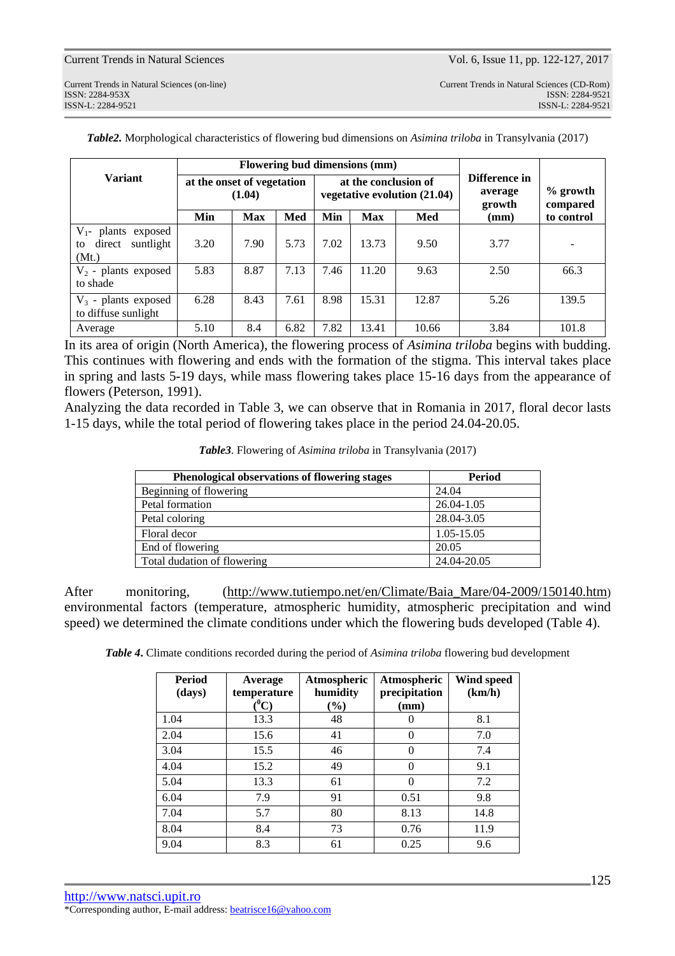ISSN: 2284-953XISSN: 2284-9521

Current Trends in Natural Sciences (on-line) Current Trends in Natural Sciences (CD-Rom) ISSN-L: 2284-9521 ISSN-L: 2284-9521

|                                                                   | Flowering bud dimensions (mm)        |            |      |                                                      |            |       |                                    |                        |
|-------------------------------------------------------------------|--------------------------------------|------------|------|------------------------------------------------------|------------|-------|------------------------------------|------------------------|
| <b>Variant</b>                                                    | at the onset of vegetation<br>(1.04) |            |      | at the conclusion of<br>vegetative evolution (21.04) |            |       | Difference in<br>average<br>growth | $%$ growth<br>compared |
|                                                                   | Min                                  | <b>Max</b> | Med  | Min                                                  | <b>Max</b> | Med   | (mm)                               | to control             |
| $V_{1}$ -<br>plants exposed<br>suntlight<br>direct<br>to<br>(Mt.) | 3.20                                 | 7.90       | 5.73 | 7.02                                                 | 13.73      | 9.50  | 3.77                               |                        |
| $V_2$ - plants exposed<br>to shade                                | 5.83                                 | 8.87       | 7.13 | 7.46                                                 | 11.20      | 9.63  | 2.50                               | 66.3                   |
| $V_3$ - plants exposed<br>to diffuse sunlight                     | 6.28                                 | 8.43       | 7.61 | 8.98                                                 | 15.31      | 12.87 | 5.26                               | 139.5                  |
| Average                                                           | 5.10                                 | 8.4        | 6.82 | 7.82                                                 | 13.41      | 10.66 | 3.84                               | 101.8                  |

*Table2.* Morphological characteristics of flowering bud dimensions on *Asimina triloba* in Transylvania (2017)

In its area of origin (North America), the flowering process of *Asimina triloba* begins with budding. This continues with flowering and ends with the formation of the stigma. This interval takes place in spring and lasts 5-19 days, while mass flowering takes place 15-16 days from the appearance of flowers (Peterson, 1991).

Analyzing the data recorded in Table 3, we can observe that in Romania in 2017, floral decor lasts 1-15 days, while the total period of flowering takes place in the period 24.04-20.05.

| Table3. Flowering of Asimina triloba in Transylvania (2017) |  |  |
|-------------------------------------------------------------|--|--|
|-------------------------------------------------------------|--|--|

| <b>Phenological observations of flowering stages</b> | <b>Period</b> |
|------------------------------------------------------|---------------|
| Beginning of flowering                               | 24.04         |
| Petal formation                                      | 26.04-1.05    |
| Petal coloring                                       | 28.04-3.05    |
| Floral decor                                         | 1.05-15.05    |
| End of flowering                                     | 20.05         |
| Total dudation of flowering                          | 24.04-20.05   |

After monitoring, (http://www.tutiempo.net/en/Climate/Baia\_Mare/04-2009/150140.htm) environmental factors (temperature, atmospheric humidity, atmospheric precipitation and wind speed) we determined the climate conditions under which the flowering buds developed (Table 4).

*Table 4***.** Climate conditions recorded during the period of *Asimina triloba* flowering bud development

| <b>Period</b><br>(days) | Average<br>temperature<br>$(^0\mathrm{C})$ | Atmospheric<br>humidity<br>$(\%)$ | Atmospheric<br>precipitation<br>(mm) | Wind speed<br>(km/h) |
|-------------------------|--------------------------------------------|-----------------------------------|--------------------------------------|----------------------|
| 1.04                    | 13.3                                       | 48                                | 0                                    | 8.1                  |
| 2.04                    | 15.6                                       | 41                                | $\theta$                             | 7.0                  |
| 3.04                    | 15.5                                       | 46                                | $\theta$                             | 7.4                  |
| 4.04                    | 15.2                                       | 49                                | $\theta$                             | 9.1                  |
| 5.04                    | 13.3                                       | 61                                | $\Omega$                             | 7.2                  |
| 6.04                    | 7.9                                        | 91                                | 0.51                                 | 9.8                  |
| 7.04                    | 5.7                                        | 80                                | 8.13                                 | 14.8                 |
| 8.04                    | 8.4                                        | 73                                | 0.76                                 | 11.9                 |
| 9.04                    | 8.3                                        | 61                                | 0.25                                 | 9.6                  |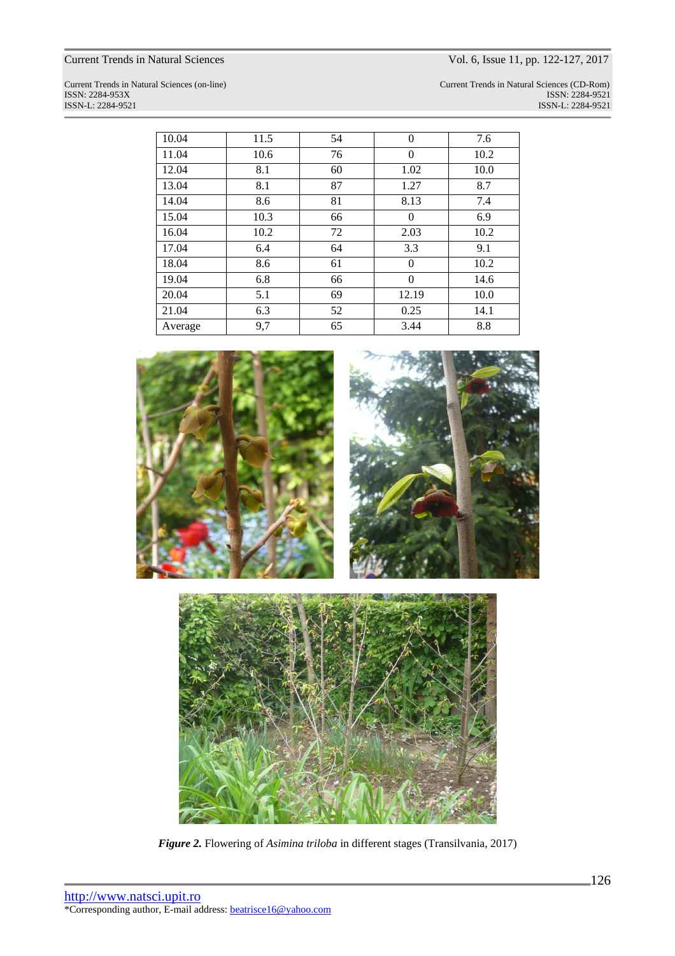# Current Trends in Natural Sciences Vol. 6, Issue 11, pp. 122-127, 2017

Current Trends in Natural Sciences (on-line) Current Trends in Natural Sciences (CD-Rom) ISSN: 2284-953XISSN: 2284-9521 ISSN-L: 2284-9521 ISSN-L: 2284-9521

| 10.04   | 11.5 | 54 | $\theta$ | 7.6  |
|---------|------|----|----------|------|
| 11.04   | 10.6 | 76 | $\Omega$ | 10.2 |
| 12.04   | 8.1  | 60 | 1.02     | 10.0 |
| 13.04   | 8.1  | 87 | 1.27     | 8.7  |
| 14.04   | 8.6  | 81 | 8.13     | 7.4  |
| 15.04   | 10.3 | 66 | $\theta$ | 6.9  |
| 16.04   | 10.2 | 72 | 2.03     | 10.2 |
| 17.04   | 6.4  | 64 | 3.3      | 9.1  |
| 18.04   | 8.6  | 61 | $\Omega$ | 10.2 |
| 19.04   | 6.8  | 66 | $\theta$ | 14.6 |
| 20.04   | 5.1  | 69 | 12.19    | 10.0 |
| 21.04   | 6.3  | 52 | 0.25     | 14.1 |
| Average | 9,7  | 65 | 3.44     | 8.8  |





*Figure 2.* Flowering of *Asimina triloba* in different stages (Transilvania, 2017)